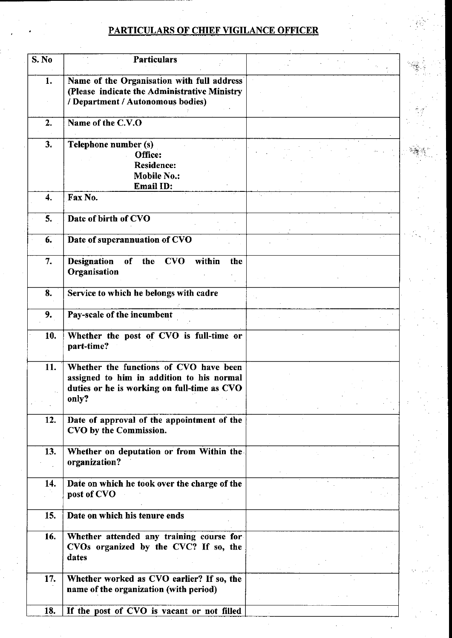## PARTICULARS OF CHIEF VIGILANCE OFFICER

| S. No | <b>Particulars</b>                                                                         |  |
|-------|--------------------------------------------------------------------------------------------|--|
|       |                                                                                            |  |
| 1.    | Name of the Organisation with full address<br>(Please indicate the Administrative Ministry |  |
|       | / Department / Autonomous bodies)                                                          |  |
|       |                                                                                            |  |
| 2.    | Name of the C.V.O                                                                          |  |
|       |                                                                                            |  |
| 3.    | Telephone number (s)<br>Office:                                                            |  |
|       | Residence:                                                                                 |  |
|       | <b>Mobile No.:</b>                                                                         |  |
|       | Email ID:                                                                                  |  |
| 4.    | Fax No.                                                                                    |  |
|       |                                                                                            |  |
| 5.    | Date of birth of CVO                                                                       |  |
| 6.    | Date of superannuation of CVO                                                              |  |
|       |                                                                                            |  |
| 7.    | of the CVO<br>within<br><b>Designation</b><br>the                                          |  |
|       | Organisation                                                                               |  |
|       |                                                                                            |  |
| 8.    | Service to which he belongs with cadre                                                     |  |
| 9.    | Pay-scale of the incumbent                                                                 |  |
|       |                                                                                            |  |
| 10.   | Whether the post of CVO is full-time or                                                    |  |
|       | part-time?                                                                                 |  |
| 11.   | Whether the functions of CVO have been                                                     |  |
|       | assigned to him in addition to his normal                                                  |  |
|       | duties or he is working on full-time as CVO                                                |  |
|       | only?                                                                                      |  |
|       |                                                                                            |  |
| 12.   | Date of approval of the appointment of the                                                 |  |
|       | CVO by the Commission.                                                                     |  |
| 13.   | Whether on deputation or from Within the                                                   |  |
|       | organization?                                                                              |  |
|       |                                                                                            |  |
| 14.   | Date on which he took over the charge of the                                               |  |
|       | post of CVO                                                                                |  |
|       |                                                                                            |  |
| 15.   | Date on which his tenure ends                                                              |  |
| 16.   | Whether attended any training course for                                                   |  |
|       | CVOs organized by the CVC? If so, the                                                      |  |
|       | dates                                                                                      |  |
|       |                                                                                            |  |
| 17.   | Whether worked as CVO earlier? If so, the                                                  |  |
|       | name of the organization (with period)                                                     |  |
|       |                                                                                            |  |
| 18.   | If the post of CVO is vacant or not filled                                                 |  |